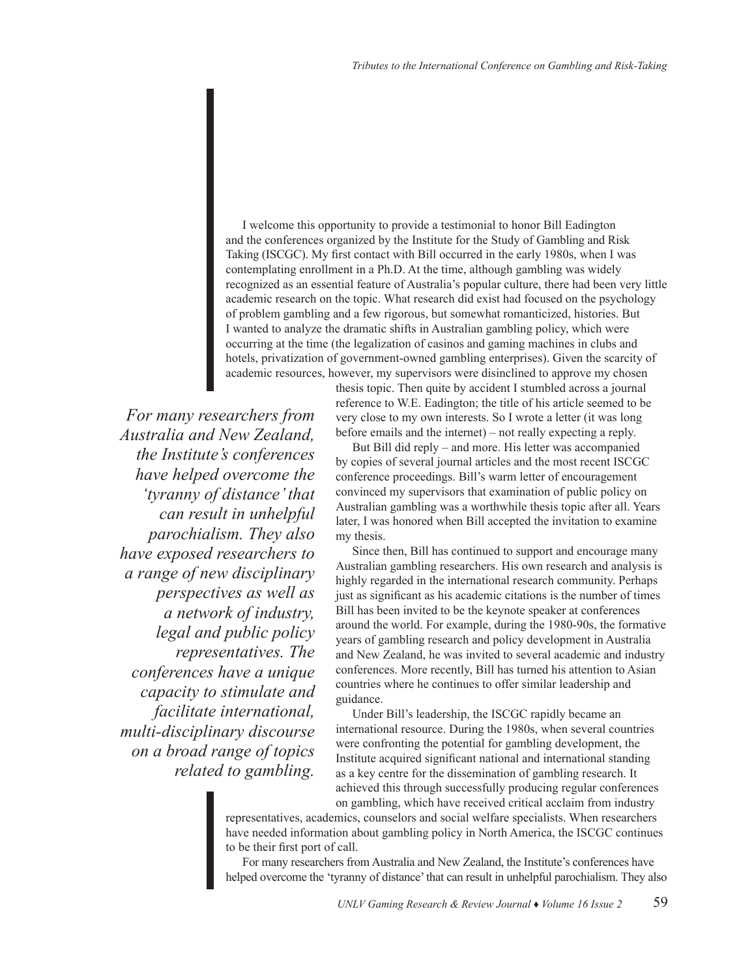I welcome this opportunity to provide a testimonial to honor Bill Eadington and the conferences organized by the Institute for the Study of Gambling and Risk Taking (ISCGC). My first contact with Bill occurred in the early 1980s, when I was contemplating enrollment in a Ph.D. At the time, although gambling was widely recognized as an essential feature of Australia's popular culture, there had been very little academic research on the topic. What research did exist had focused on the psychology of problem gambling and a few rigorous, but somewhat romanticized, histories. But I wanted to analyze the dramatic shifts in Australian gambling policy, which were occurring at the time (the legalization of casinos and gaming machines in clubs and hotels, privatization of government-owned gambling enterprises). Given the scarcity of academic resources, however, my supervisors were disinclined to approve my chosen

*For many researchers from*  thesis topic. Then quite by accident I stumbled across a journal reference to W.E. Eadington; the title of his article seemed to be very close to my own interests. So I wrote a letter (it was long before emails and the internet) – not really expecting a reply. But Bill did reply – and more. His letter was accompanied by copies of several journal articles and the most recent ISCGC conference proceedings. Bill's warm letter of encouragement convinced my supervisors that examination of public policy on my thesis.

Australian gambling was a worthwhile thesis topic after all. Years later, I was honored when Bill accepted the invitation to examine Since then, Bill has continued to support and encourage many Australian gambling researchers. His own research and analysis is highly regarded in the international research community. Perhaps just as significant as his academic citations is the number of times Bill has been invited to be the keynote speaker at conferences around the world. For example, during the 1980-90s, the formative years of gambling research and policy development in Australia and New Zealand, he was invited to several academic and industry conferences. More recently, Bill has turned his attention to Asian countries where he continues to offer similar leadership and guidance.

Under Bill's leadership, the ISCGC rapidly became an international resource. During the 1980s, when several countries were confronting the potential for gambling development, the Institute acquired significant national and international standing as a key centre for the dissemination of gambling research. It achieved this through successfully producing regular conferences on gambling, which have received critical acclaim from industry

representatives, academics, counselors and social welfare specialists. When researchers have needed information about gambling policy in North America, the ISCGC continues to be their first port of call.

For many researchers from Australia and New Zealand, the Institute's conferences have helped overcome the 'tyranny of distance' that can result in unhelpful parochialism. They also

*Australia and New Zealand, the Institute's conferences have helped overcome the 'tyranny of distance' that can result in unhelpful parochialism. They also have exposed researchers to a range of new disciplinary perspectives as well as a network of industry, legal and public policy representatives. The conferences have a unique capacity to stimulate and facilitate international, multi-disciplinary discourse on a broad range of topics related to gambling.*